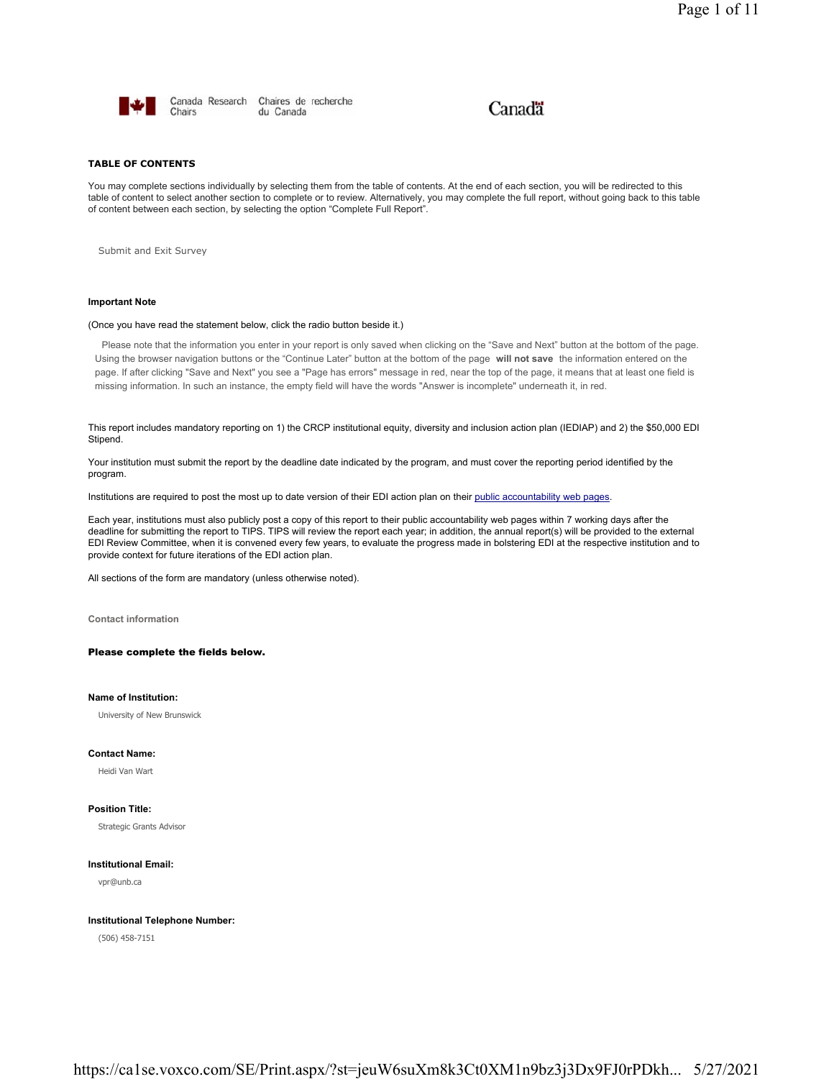

Canada Research Chaires de recherche Chairs du Canada

# Canadä

# **TABLE OF CONTENTS**

You may complete sections individually by selecting them from the table of contents. At the end of each section, you will be redirected to this table of content to select another section to complete or to review. Alternatively, you may complete the full report, without going back to this table of content between each section, by selecting the option "Complete Full Report".

Submit and Exit Survey

# **Important Note**

# (Once you have read the statement below, click the radio button beside it.)

Please note that the information you enter in your report is only saved when clicking on the "Save and Next" button at the bottom of the page. Using the browser navigation buttons or the "Continue Later" button at the bottom of the page **will not save** the information entered on the page. If after clicking "Save and Next" you see a "Page has errors" message in red, near the top of the page, it means that at least one field is missing information. In such an instance, the empty field will have the words "Answer is incomplete" underneath it, in red.

This report includes mandatory reporting on 1) the CRCP institutional equity, diversity and inclusion action plan (IEDIAP) and 2) the \$50,000 EDI Stipend.

Your institution must submit the report by the deadline date indicated by the program, and must cover the reporting period identified by the program.

Institutions are required to post the most up to date version of their EDI action plan on their public accountability web pages.

Each year, institutions must also publicly post a copy of this report to their public accountability web pages within 7 working days after the deadline for submitting the report to TIPS. TIPS will review the report each year; in addition, the annual report(s) will be provided to the external EDI Review Committee, when it is convened every few years, to evaluate the progress made in bolstering EDI at the respective institution and to provide context for future iterations of the EDI action plan.

All sections of the form are mandatory (unless otherwise noted).

**Contact information**

# Please complete the fields below.

# **Name of Institution:**

University of New Brunswick

## **Contact Name:**

Heidi Van Wart

# **Position Title:**

Strategic Grants Advisor

# **Institutional Email:**

vpr@unb.ca

# **Institutional Telephone Number:**

(506) 458-7151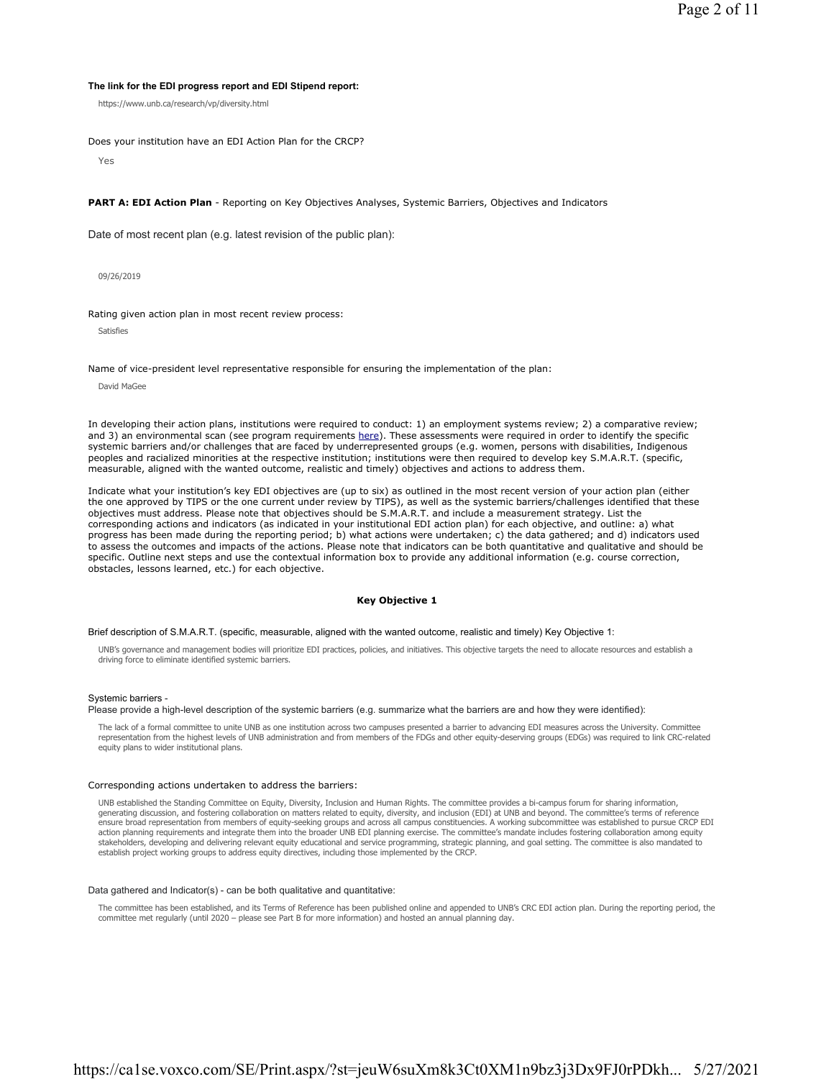# **The link for the EDI progress report and EDI Stipend report:**

https://www.unb.ca/research/vp/diversity.html

Does your institution have an EDI Action Plan for the CRCP?

Yes

**PART A: EDI Action Plan** - Reporting on Key Objectives Analyses, Systemic Barriers, Objectives and Indicators

Date of most recent plan (e.g. latest revision of the public plan):

09/26/2019

Rating given action plan in most recent review process:

Satisfies

Name of vice-president level representative responsible for ensuring the implementation of the plan:

David MaGee

In developing their action plans, institutions were required to conduct: 1) an employment systems review; 2) a comparative review; and 3) an environmental scan (see program requirements here). These assessments were required in order to identify the specific systemic barriers and/or challenges that are faced by underrepresented groups (e.g. women, persons with disabilities, Indigenous peoples and racialized minorities at the respective institution; institutions were then required to develop key S.M.A.R.T. (specific, measurable, aligned with the wanted outcome, realistic and timely) objectives and actions to address them.

Indicate what your institution's key EDI objectives are (up to six) as outlined in the most recent version of your action plan (either the one approved by TIPS or the one current under review by TIPS), as well as the systemic barriers/challenges identified that these objectives must address. Please note that objectives should be S.M.A.R.T. and include a measurement strategy. List the corresponding actions and indicators (as indicated in your institutional EDI action plan) for each objective, and outline: a) what progress has been made during the reporting period; b) what actions were undertaken; c) the data gathered; and d) indicators used to assess the outcomes and impacts of the actions. Please note that indicators can be both quantitative and qualitative and should be specific. Outline next steps and use the contextual information box to provide any additional information (e.g. course correction, obstacles, lessons learned, etc.) for each objective.

# **Key Objective 1**

Brief description of S.M.A.R.T. (specific, measurable, aligned with the wanted outcome, realistic and timely) Key Objective 1:

UNB's governance and management bodies will prioritize EDI practices, policies, and initiatives. This objective targets the need to allocate resources and establish a driving force to eliminate identified systemic barriers.

#### Systemic barriers -

Please provide a high-level description of the systemic barriers (e.g. summarize what the barriers are and how they were identified):

The lack of a formal committee to unite UNB as one institution across two campuses presented a barrier to advancing EDI measures across the University. Committee representation from the highest levels of UNB administration and from members of the FDGs and other equity-deserving groups (EDGs) was required to link CRC-related equity plans to wider institutional plans.

# Corresponding actions undertaken to address the barriers:

UNB established the Standing Committee on Equity, Diversity, Inclusion and Human Rights. The committee provides a bi-campus forum for sharing information, generating discussion, and fostering collaboration on matters related to equity, diversity, and inclusion (EDI) at UNB and beyond. The committee's terms of reference ensure broad representation from members of equity-seeking groups and across all campus constituencies. A working subcommittee was established to pursue CRCP EDI action planning requirements and integrate them into the broader UNB EDI planning exercise. The committee's mandate includes fostering collaboration among equity stakeholders, developing and delivering relevant equity educational and service programming, strategic planning, and goal setting. The committee is also mandated to<br>establish project working groups to address equity direct

#### Data gathered and Indicator(s) - can be both qualitative and quantitative:

The committee has been established, and its Terms of Reference has been published online and appended to UNB's CRC EDI action plan. During the reporting period, the<br>committee met regularly (until 2020 – please see Part B f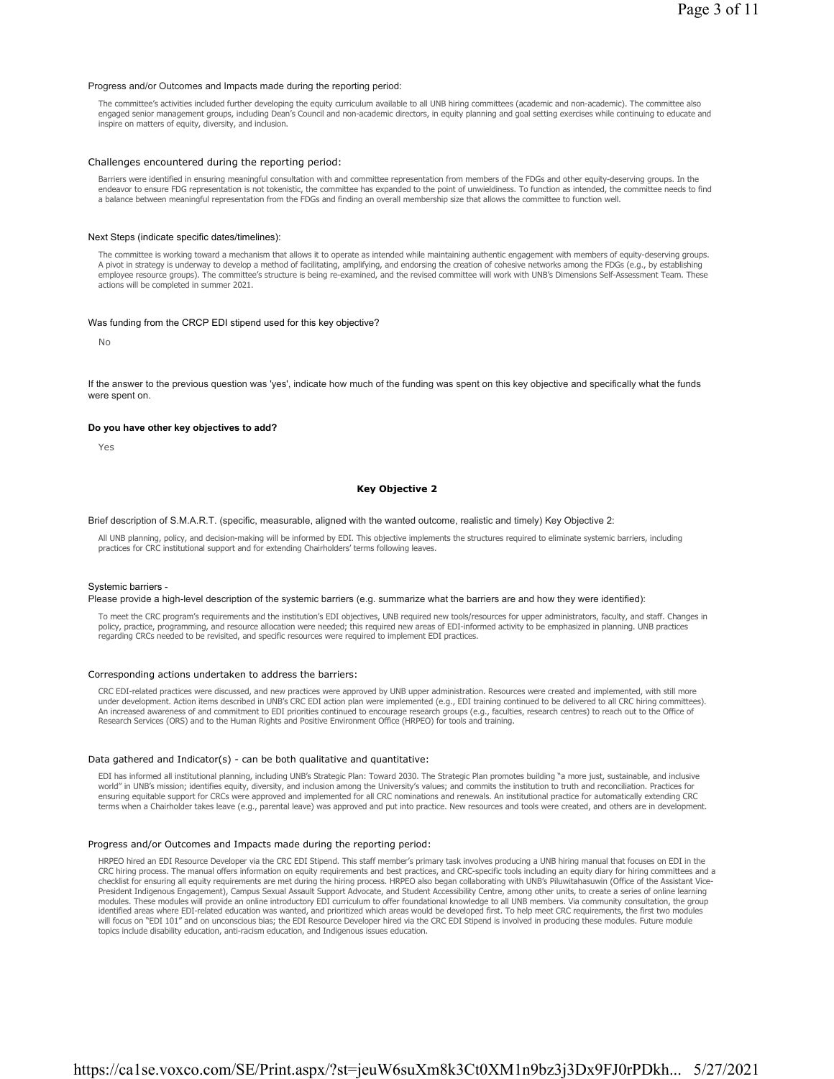#### Progress and/or Outcomes and Impacts made during the reporting period:

The committee's activities included further developing the equity curriculum available to all UNB hiring committees (academic and non-academic). The committee also engaged senior management groups, including Dean's Council and non-academic directors, in equity planning and goal setting exercises while continuing to educate and inspire on matters of equity, diversity, and inclusion.

#### Challenges encountered during the reporting period:

Barriers were identified in ensuring meaningful consultation with and committee representation from members of the FDGs and other equity-deserving groups. In the endeavor to ensure FDG representation is not tokenistic, the committee has expanded to the point of unwieldiness. To function as intended, the committee needs to find a balance between meaningful representation from the FDGs and finding an overall membership size that allows the committee to function well.

## Next Steps (indicate specific dates/timelines):

The committee is working toward a mechanism that allows it to operate as intended while maintaining authentic engagement with members of equity-deserving groups. A pivot in strategy is underway to develop a method of facilitating, amplifying, and endorsing the creation of cohesive networks among the FDGs (e.g., by establishing employee resource groups). The committee's structure is being re-examined, and the revised committee will work with UNB's Dimensions Self-Assessment Team. These actions will be completed in summer 2021.

#### Was funding from the CRCP EDI stipend used for this key objective?

No

If the answer to the previous question was 'yes', indicate how much of the funding was spent on this key objective and specifically what the funds were spent on.

#### **Do you have other key objectives to add?**

Yes

# **Key Objective 2**

Brief description of S.M.A.R.T. (specific, measurable, aligned with the wanted outcome, realistic and timely) Key Objective 2:

All UNB planning, policy, and decision-making will be informed by EDI. This objective implements the structures required to eliminate systemic barriers, including practices for CRC institutional support and for extending Chairholders' terms following leaves.

#### Systemic barriers -

Please provide a high-level description of the systemic barriers (e.g. summarize what the barriers are and how they were identified):

To meet the CRC program's requirements and the institution's EDI objectives, UNB required new tools/resources for upper administrators, faculty, and staff. Changes in policy, practice, programming, and resource allocation were needed; this required new areas of EDI-informed activity to be emphasized in planning. UNB practices regarding CRCs needed to be revisited, and specific resources were required to implement EDI practices.

#### Corresponding actions undertaken to address the barriers:

CRC EDI-related practices were discussed, and new practices were approved by UNB upper administration. Resources were created and implemented, with still more under development. Action items described in UNB's CRC EDI action plan were implemented (e.g., EDI training continued to be delivered to all CRC hiring committees). An increased awareness of and commitment to EDI priorities continued to encourage research groups (e.g., faculties, research centres) to reach out to the Office of Research Services (ORS) and to the Human Rights and Positive Environment Office (HRPEO) for tools and training.

#### Data gathered and Indicator(s) - can be both qualitative and quantitative:

EDI has informed all institutional planning, including UNB's Strategic Plan: Toward 2030. The Strategic Plan promotes building "a more just, sustainable, and inclusive world" in UNB's mission; identifies equity, diversity, and inclusion among the University's values; and commits the institution to truth and reconciliation. Practices for<br>ensuring equitable support for CRCs were approved a terms when a Chairholder takes leave (e.g., parental leave) was approved and put into practice. New resources and tools were created, and others are in development.

# Progress and/or Outcomes and Impacts made during the reporting period:

HRPEO hired an EDI Resource Developer via the CRC EDI Stipend. This staff member's primary task involves producing a UNB hiring manual that focuses on EDI in the CRC hiring process. The manual offers information on equity requirements and best practices, and CRC-specific tools including an equity diary for hiring committees and a checklist for ensuring all equity requirements are met during the hiring process. HRPEO also began collaborating with UNB's Piluwitahasuwin (Office of the Assistant Vice-President Indigenous Engagement), Campus Sexual Assault Support Advocate, and Student Accessibility Centre, among other units, to create a series of online learning modules. These modules will provide an online introductory EDI curriculum to offer foundational knowledge to all UNB members. Via community consultation, the group identified areas where EDI-related education was wanted, and prioritized which areas would be developed first. To help meet CRC requirements, the first two modules will focus on "EDI 101" and on unconscious bias; the EDI Resource Developer hired via the CRC EDI Stipend is involved in producing these modules. Future module topics include disability education, anti-racism education, and Indigenous issues education.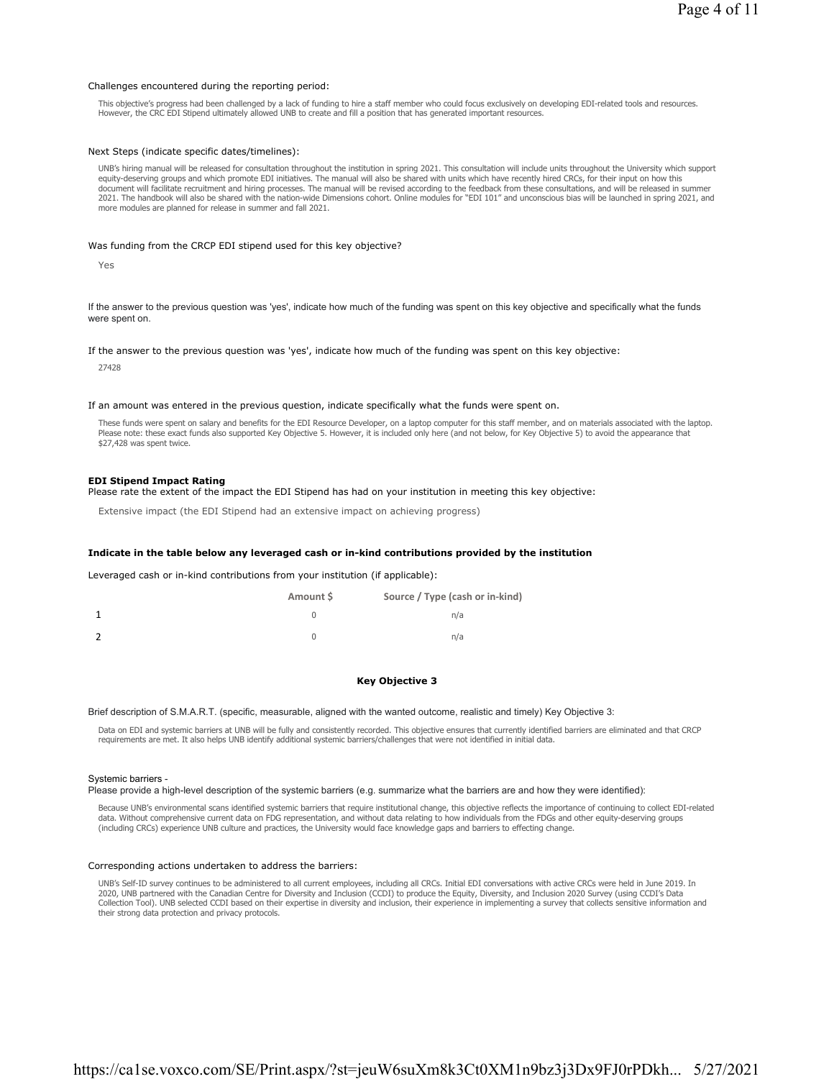#### Challenges encountered during the reporting period:

This objective's progress had been challenged by a lack of funding to hire a staff member who could focus exclusively on developing EDI-related tools and resources. However, the CRC EDI Stipend ultimately allowed UNB to create and fill a position that has generated important resources.

#### Next Steps (indicate specific dates/timelines):

UNB's hiring manual will be released for consultation throughout the institution in spring 2021. This consultation will include units throughout the University which support equity-deserving groups and which promote EDI initiatives. The manual will also be shared with units which have recently hired CRCs, for their input on how this<br>document will facilitate recruitment and hiring processes. Th 2021. The handbook will also be shared with the nation-wide Dimensions cohort. Online modules for "EDI 101" and unconscious bias will be launched in spring 2021, and more modules are planned for release in summer and fall 2021.

## Was funding from the CRCP EDI stipend used for this key objective?

Yes

If the answer to the previous question was 'yes', indicate how much of the funding was spent on this key objective and specifically what the funds were spent on.

#### If the answer to the previous question was 'yes', indicate how much of the funding was spent on this key objective:

27428

#### If an amount was entered in the previous question, indicate specifically what the funds were spent on.

These funds were spent on salary and benefits for the EDI Resource Developer, on a laptop computer for this staff member, and on materials associated with the laptop. Please note: these exact funds also supported Key Objective 5. However, it is included only here (and not below, for Key Objective 5) to avoid the appearance that \$27,428 was spent twice.

#### **EDI Stipend Impact Rating**

Please rate the extent of the impact the EDI Stipend has had on your institution in meeting this key objective:

Extensive impact (the EDI Stipend had an extensive impact on achieving progress)

# **Indicate in the table below any leveraged cash or in-kind contributions provided by the institution**

Leveraged cash or in-kind contributions from your institution (if applicable):

|                | Amount S | Source / Type (cash or in-kind) |
|----------------|----------|---------------------------------|
|                |          | n/a                             |
| $\overline{z}$ |          | n/a                             |

# **Key Objective 3**

#### Brief description of S.M.A.R.T. (specific, measurable, aligned with the wanted outcome, realistic and timely) Key Objective 3:

Data on EDI and systemic barriers at UNB will be fully and consistently recorded. This objective ensures that currently identified barriers are eliminated and that CRCP requirements are met. It also helps UNB identify additional systemic barriers/challenges that were not identified in initial data.

#### Systemic barriers -

Please provide a high-level description of the systemic barriers (e.g. summarize what the barriers are and how they were identified):

Because UNB's environmental scans identified systemic barriers that require institutional change, this objective reflects the importance of continuing to collect EDI-related data. Without comprehensive current data on FDG representation, and without data relating to how individuals from the FDGs and other equity-deserving groups<br>(including CRCs) experience UNB culture and practices, the Univer

#### Corresponding actions undertaken to address the barriers:

UNB's Self-ID survey continues to be administered to all current employees, including all CRCs. Initial EDI conversations with active CRCs were held in June 2019. In<br>2020, UNB partnered with the Canadian Centre for Diversi their strong data protection and privacy protocols.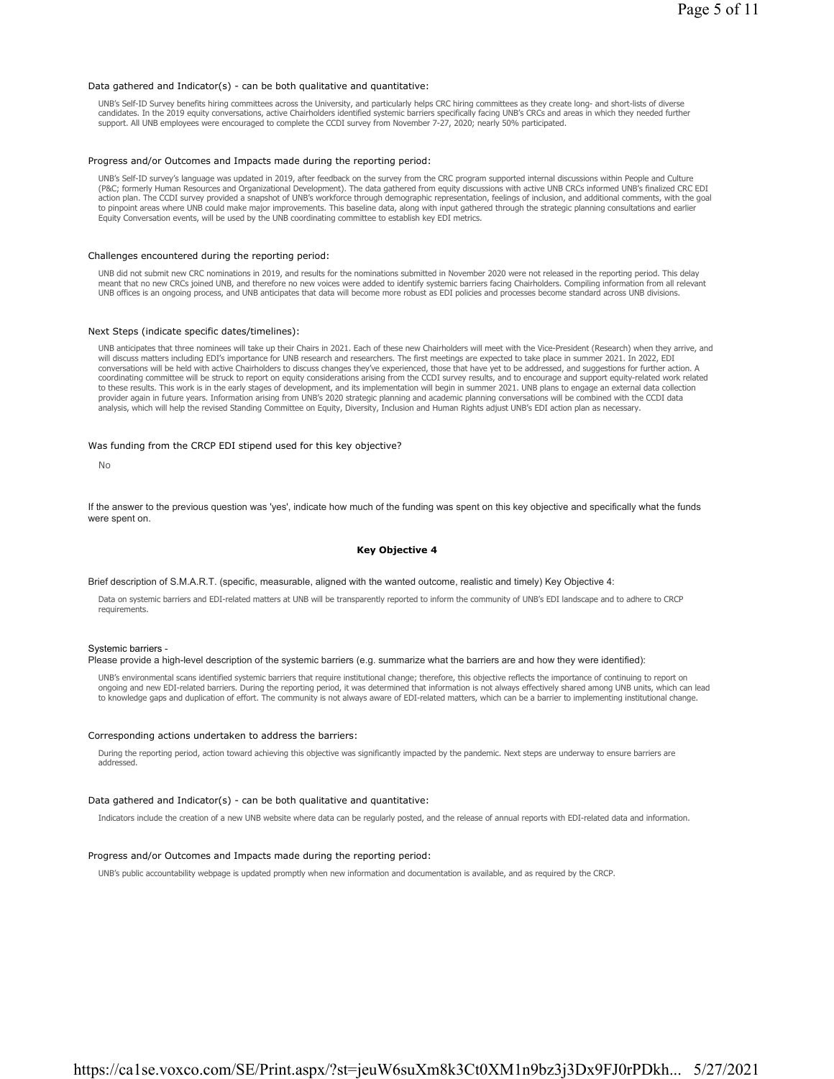#### Data gathered and Indicator(s) - can be both qualitative and quantitative:

UNB's Self-ID Survey benefits hiring committees across the University, and particularly helps CRC hiring committees as they create long- and short-lists of diverse candidates. In the 2019 equity conversations, active Chairholders identified systemic barriers specifically facing UNB's CRCs and areas in which they needed further support. All UNB employees were encouraged to complete the CCDI survey from November 7-27, 2020; nearly 50% participated.

#### Progress and/or Outcomes and Impacts made during the reporting period:

UNB's Self-ID survey's language was updated in 2019, after feedback on the survey from the CRC program supported internal discussions within People and Culture<br>(P&C; formerly Human Resources and Organizational Development) action plan. The CCDI survey provided a snapshot of UNB's workforce through demographic representation, feelings of inclusion, and additional comments, with the goal to pinpoint areas where UNB could make major improvements. This baseline data, along with input gathered through the strategic planning consultations and earlier Equity Conversation events, will be used by the UNB coordinating committee to establish key EDI metrics.

#### Challenges encountered during the reporting period:

UNB did not submit new CRC nominations in 2019, and results for the nominations submitted in November 2020 were not released in the reporting period. This delay meant that no new CRCs joined UNB, and therefore no new voices were added to identify systemic barriers facing Chairholders. Compiling information from all relevant UNB offices is an ongoing process, and UNB anticipates that data will become more robust as EDI policies and processes become standard across UNB divisions.

#### Next Steps (indicate specific dates/timelines):

UNB anticipates that three nominees will take up their Chairs in 2021. Each of these new Chairholders will meet with the Vice-President (Research) when they arrive, and will discuss matters including EDI's importance for UNB research and researchers. The first meetings are expected to take place in summer 2021. In 2022, EDI<br>conversations will be held with active Chairholders to discuss ch coordinating committee will be struck to report on equity considerations arising from the CCDI survey results, and to encourage and support equity-related work related to these results. This work is in the early stages of development, and its implementation will begin in summer 2021. UNB plans to engage an external data collection provider again in future years. Information arising from UNB's 2020 strategic planning and academic planning conversations will be combined with the CCDI data analysis, which will help the revised Standing Committee on Equity, Diversity, Inclusion and Human Rights adjust UNB's EDI action plan as necessary.

#### Was funding from the CRCP EDI stipend used for this key objective?

No

If the answer to the previous question was 'yes', indicate how much of the funding was spent on this key objective and specifically what the funds were spent on.

## **Key Objective 4**

# Brief description of S.M.A.R.T. (specific, measurable, aligned with the wanted outcome, realistic and timely) Key Objective 4:

Data on systemic barriers and EDI-related matters at UNB will be transparently reported to inform the community of UNB's EDI landscape and to adhere to CRCP requirements.

#### Systemic barriers -

### Please provide a high-level description of the systemic barriers (e.g. summarize what the barriers are and how they were identified):

UNB's environmental scans identified systemic barriers that require institutional change; therefore, this objective reflects the importance of continuing to report on ongoing and new EDI-related barriers. During the reporting period, it was determined that information is not always effectively shared among UNB units, which can lead to knowledge gaps and duplication of effort. The community is not always aware of EDI-related matters, which can be a barrier to implementing institutional change.

# Corresponding actions undertaken to address the barriers:

During the reporting period, action toward achieving this objective was significantly impacted by the pandemic. Next steps are underway to ensure barriers are addressed.

## Data gathered and Indicator(s) - can be both qualitative and quantitative:

Indicators include the creation of a new UNB website where data can be regularly posted, and the release of annual reports with EDI-related data and information.

## Progress and/or Outcomes and Impacts made during the reporting period:

UNB's public accountability webpage is updated promptly when new information and documentation is available, and as required by the CRCP.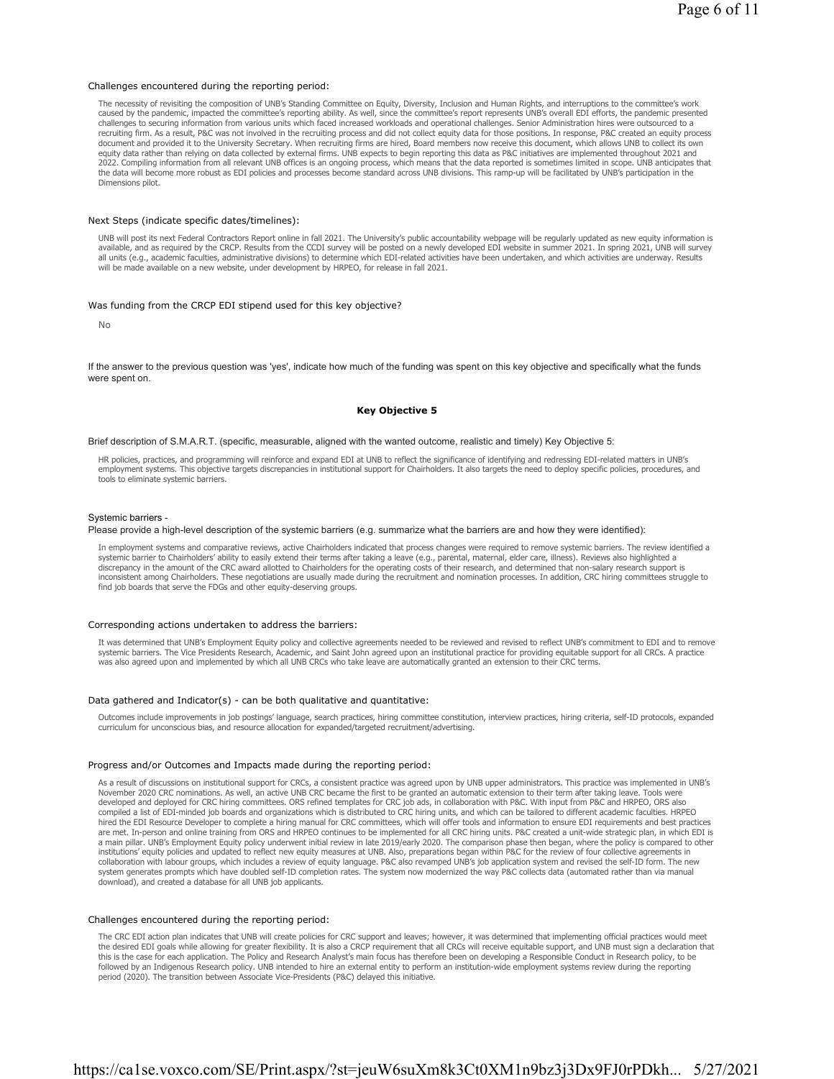#### Challenges encountered during the reporting period:

The necessity of revisiting the composition of UNB's Standing Committee on Equity, Diversity, Inclusion and Human Rights, and interruptions to the committee's work caused by the pandemic, impacted the committee's reporting ability. As well, since the committee's report represents UNB's overall EDI efforts, the pandemic presented challenges to securing information from various units which faced increased workloads and operational challenges. Senior Administration hires were outsourced to a recruiting firm. As a result, P&C was not involved in the recruiting process and did not collect equity data for those positions. In response, P&C created an equity process document and provided it to the University Secretary. When recruiting firms are hired, Board members now receive this document, which allows UNB to collect its own equity data rather than relying on data collected by external firms. UNB expects to begin reporting this data as P&C initiatives are implemented throughout 2021 and<br>2022. Compiling information from all relevant UNB offices the data will become more robust as EDI policies and processes become standard across UNB divisions. This ramp-up will be facilitated by UNB's participation in the Dimensions pilot.

#### Next Steps (indicate specific dates/timelines):

UNB will post its next Federal Contractors Report online in fall 2021. The University's public accountability webpage will be regularly updated as new equity information is available, and as required by the CRCP. Results from the CCDI survey will be posted on a newly developed EDI website in summer 2021. In spring 2021, UNB will survey all units (e.g., academic faculties, administrative divisions) to determine which EDI-related activities have been undertaken, and which activities are underway. Results will be made available on a new website, under development by HRPEO, for release in fall 2021.

# Was funding from the CRCP EDI stipend used for this key objective?

No

If the answer to the previous question was 'yes', indicate how much of the funding was spent on this key objective and specifically what the funds were spent on.

# **Key Objective 5**

Brief description of S.M.A.R.T. (specific, measurable, aligned with the wanted outcome, realistic and timely) Key Objective 5:

HR policies, practices, and programming will reinforce and expand EDI at UNB to reflect the significance of identifying and redressing EDI-related matters in UNB's employment systems. This objective targets discrepancies in institutional support for Chairholders. It also targets the need to deploy specific policies, procedures, and tools to eliminate systemic barriers.

#### Systemic barriers -

# Please provide a high-level description of the systemic barriers (e.g. summarize what the barriers are and how they were identified):

In employment systems and comparative reviews, active Chairholders indicated that process changes were required to remove systemic barriers. The review identified a systemic barrier to Chairholders' ability to easily extend their terms after taking a leave (e.g., parental, maternal, elder care, illness). Reviews also highlighted a discrepancy in the amount of the CRC award allotted to Chairholders for the operating costs of their research, and determined that non-salary research support is inconsistent among Chairholders. These negotiations are usually made during the recruitment and nomination processes. In addition, CRC hiring committees struggle to find job boards that serve the FDGs and other equity-deserving groups.

#### Corresponding actions undertaken to address the barriers:

It was determined that UNB's Employment Equity policy and collective agreements needed to be reviewed and revised to reflect UNB's commitment to EDI and to remove systemic barriers. The Vice Presidents Research, Academic, and Saint John agreed upon an institutional practice for providing equitable support for all CRCs. A practice<br>was also agreed upon and implemented by which all UNB

#### Data gathered and Indicator(s) - can be both qualitative and quantitative:

Outcomes include improvements in job postings' language, search practices, hiring committee constitution, interview practices, hiring criteria, self-ID protocols, expanded curriculum for unconscious bias, and resource allocation for expanded/targeted recruitment/advertising.

#### Progress and/or Outcomes and Impacts made during the reporting period:

As a result of discussions on institutional support for CRCs, a consistent practice was agreed upon by UNB upper administrators. This practice was implemented in UNB's November 2020 CRC nominations. As well, an active UNB CRC became the first to be granted an automatic extension to their term after taking leave. Tools were<br>developed and deployed for CRC hiring committees. ORS refined tem compiled a list of EDI-minded job boards and organizations which is distributed to CRC hiring units, and which can be tailored to different academic faculties. HRPEO hired the EDI Resource Developer to complete a hiring manual for CRC committees, which will offer tools and information to ensure EDI requirements and best practices are met. In-person and online training from ORS and HRPEO continues to be implemented for all CRC hiring units. P&C created a unit-wide strategic plan, in which EDI is<br>a main pillar. UNB's Employment Equity policy underwen institutions' equity policies and updated to reflect new equity measures at UNB. Also, preparations began within P&C for the review of four collective agreements in collaboration with labour groups, which includes a review of equity language. P&C also revamped UNB's job application system and revised the self-ID form. The new<br>system generates prompts which have doubled self-ID complet download), and created a database for all UNB job applicants.

## Challenges encountered during the reporting period:

The CRC EDI action plan indicates that UNB will create policies for CRC support and leaves; however, it was determined that implementing official practices would meet<br>the desired EDI goals while allowing for greater flexib this is the case for each application. The Policy and Research Analyst's main focus has therefore been on developing a Responsible Conduct in Research policy, to be followed by an Indigenous Research policy. UNB intended to hire an external entity to perform an institution-wide employment systems review during the reporting period (2020). The transition between Associate Vice-Presidents (P&C) delayed this initiative.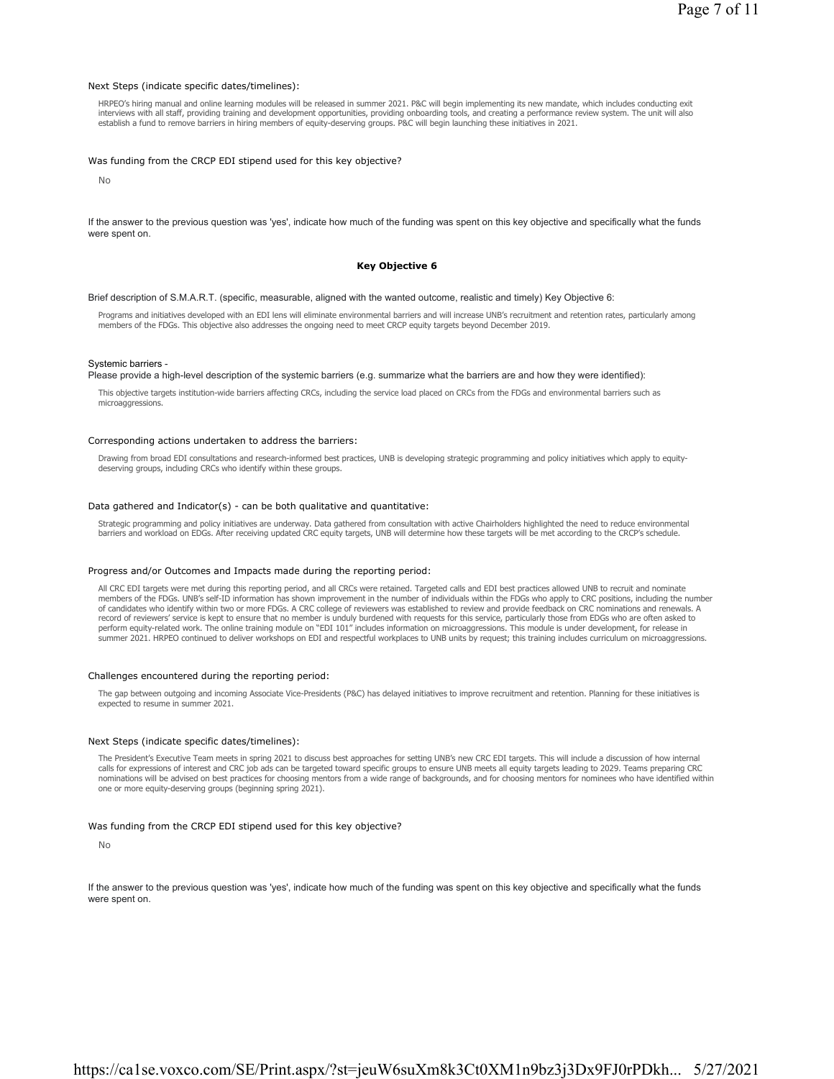#### Next Steps (indicate specific dates/timelines):

HRPEO's hiring manual and online learning modules will be released in summer 2021. P&C will begin implementing its new mandate, which includes conducting exit interviews with all staff, providing training and development opportunities, providing onboarding tools, and creating a performance review system. The unit will also establish a fund to remove barriers in hiring members of equity-deserving groups. P&C will begin launching these initiatives in 2021.

#### Was funding from the CRCP EDI stipend used for this key objective?

No

If the answer to the previous question was 'yes', indicate how much of the funding was spent on this key objective and specifically what the funds were spent on.

#### **Key Objective 6**

#### Brief description of S.M.A.R.T. (specific, measurable, aligned with the wanted outcome, realistic and timely) Key Objective 6:

Programs and initiatives developed with an EDI lens will eliminate environmental barriers and will increase UNB's recruitment and retention rates, particularly among members of the FDGs. This objective also addresses the ongoing need to meet CRCP equity targets beyond December 2019.

#### Systemic barriers -

Please provide a high-level description of the systemic barriers (e.g. summarize what the barriers are and how they were identified):

This objective targets institution-wide barriers affecting CRCs, including the service load placed on CRCs from the FDGs and environmental barriers such as microaggressions.

#### Corresponding actions undertaken to address the barriers:

Drawing from broad EDI consultations and research-informed best practices, UNB is developing strategic programming and policy initiatives which apply to equitydeserving groups, including CRCs who identify within these groups.

#### Data gathered and Indicator(s) - can be both qualitative and quantitative:

Strategic programming and policy initiatives are underway. Data gathered from consultation with active Chairholders highlighted the need to reduce environmental barriers and workload on EDGs. After receiving updated CRC equity targets, UNB will determine how these targets will be met according to the CRCP's schedule.

#### Progress and/or Outcomes and Impacts made during the reporting period:

All CRC EDI targets were met during this reporting period, and all CRCs were retained. Targeted calls and EDI best practices allowed UNB to recruit and nominate members of the FDGs. UNB's self-ID information has shown improvement in the number of individuals within the FDGs who apply to CRC positions, including the number<br>of candidates who identify within two or more FDGs. A CRC c record of reviewers' service is kept to ensure that no member is unduly burdened with requests for this service, particularly those from EDGs who are often asked to perform equity-related work. The online training module on "EDI 101" includes information on microaggressions. This module is under development, for release in summer 2021. HRPEO continued to deliver workshops on EDI and respectful workplaces to UNB units by request; this training includes curriculum on microaggressions.

#### Challenges encountered during the reporting period:

The gap between outgoing and incoming Associate Vice-Presidents (P&C) has delayed initiatives to improve recruitment and retention. Planning for these initiatives is expected to resume in summer 2021.

#### Next Steps (indicate specific dates/timelines):

The President's Executive Team meets in spring 2021 to discuss best approaches for setting UNB's new CRC EDI targets. This will include a discussion of how internal calls for expressions of interest and CRC job ads can be targeted toward specific groups to ensure UNB meets all equity targets leading to 2029. Teams preparing CRC nominations will be advised on best practices for choosing mentors from a wide range of backgrounds, and for choosing mentors for nominees who have identified within one or more equity-deserving groups (beginning spring 2021).

#### Was funding from the CRCP EDI stipend used for this key objective?

No

If the answer to the previous question was 'yes', indicate how much of the funding was spent on this key objective and specifically what the funds were spent on.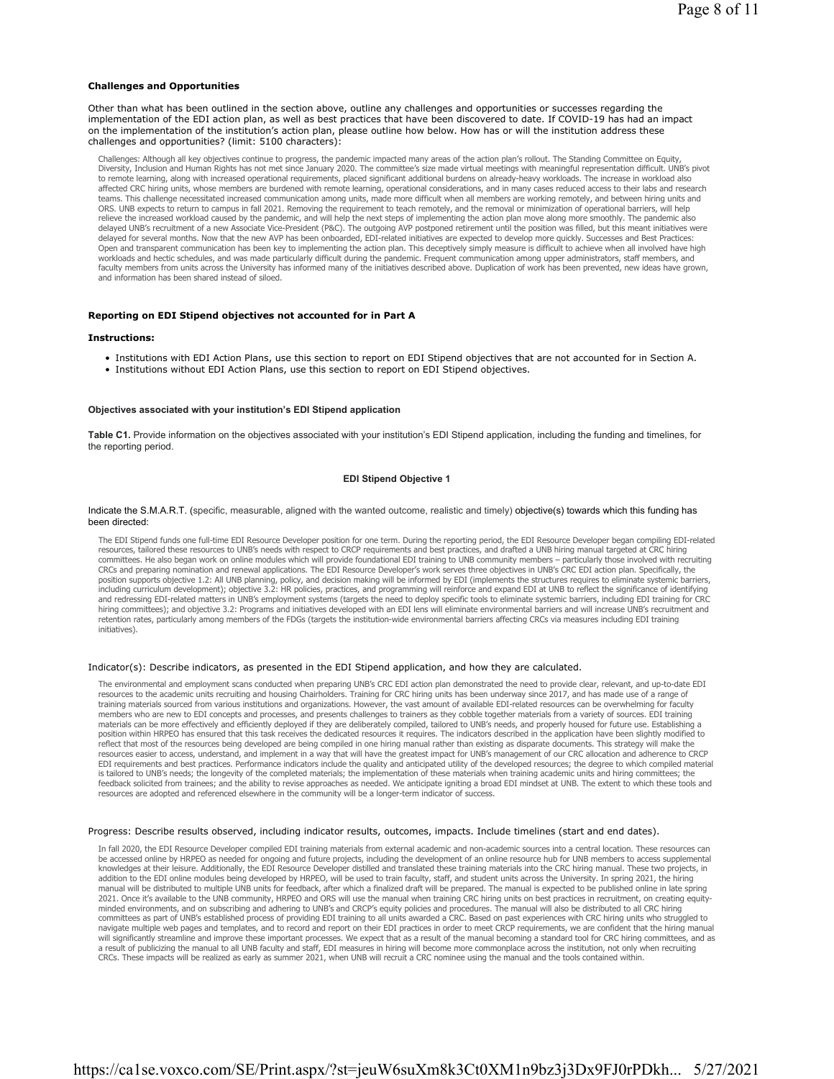#### **Challenges and Opportunities**

Other than what has been outlined in the section above, outline any challenges and opportunities or successes regarding the implementation of the EDI action plan, as well as best practices that have been discovered to date. If COVID-19 has had an impact on the implementation of the institution's action plan, please outline how below. How has or will the institution address these challenges and opportunities? (limit: 5100 characters):

Challenges: Although all key objectives continue to progress, the pandemic impacted many areas of the action plan's rollout. The Standing Committee on Equity, Diversity, Inclusion and Human Rights has not met since January 2020. The committee's size made virtual meetings with meaningful representation difficult. UNB's pivot to remote learning, along with increased operational requirements, placed significant additional burdens on already-heavy workloads. The increase in workload also affected CRC hiring units, whose members are burdened with remote learning, operational considerations, and in many cases reduced access to their labs and research<br>teams. This challenge necessitated increased communication ORS. UNB expects to return to campus in fall 2021. Removing the requirement to teach remotely, and the removal or minimization of operational barriers, will help relieve the increased workload caused by the pandemic, and will help the next steps of implementing the action plan move along more smoothly. The pandemic also<br>delayed UNB's recruitment of a new Associate Vice-President (P delayed for several months. Now that the new AVP has been onboarded, EDI-related initiatives are expected to develop more quickly. Successes and Best Practices: Open and transparent communication has been key to implementing the action plan. This deceptively simply measure is difficult to achieve when all involved have high workloads and hectic schedules, and was made particularly difficult during the pandemic. Frequent communication among upper administrators, staff members, and faculty members from units across the University has informed many of the initiatives described above. Duplication of work has been prevented, new ideas have grown, and information has been shared instead of siloed.

#### **Reporting on EDI Stipend objectives not accounted for in Part A**

#### **Instructions:**

- Institutions with EDI Action Plans, use this section to report on EDI Stipend objectives that are not accounted for in Section A.
- Institutions without EDI Action Plans, use this section to report on EDI Stipend objectives.

# **Objectives associated with your institution's EDI Stipend application**

**Table C1.** Provide information on the objectives associated with your institution's EDI Stipend application, including the funding and timelines, for the reporting period.

## **EDI Stipend Objective 1**

## Indicate the S.M.A.R.T. (specific, measurable, aligned with the wanted outcome, realistic and timely) objective(s) towards which this funding has been directed:

The EDI Stipend funds one full-time EDI Resource Developer position for one term. During the reporting period, the EDI Resource Developer began compiling EDI-related resources, tailored these resources to UNB's needs with respect to CRCP requirements and best practices, and drafted a UNB hiring manual targeted at CRC hiring committees. He also began work on online modules which will provide foundational EDI training to UNB community members – particularly those involved with recruiting CRCs and preparing nomination and renewal applications. The EDI Resource Developer's work serves three objectives in UNB's CRC EDI action plan. Specifically, the<br>position supports objective 1.2: All UNB planning, policy, a including curriculum development); objective 3.2: HR policies, practices, and programming will reinforce and expand EDI at UNB to reflect the significance of identifying and redressing EDI-related matters in UNB's employment systems (targets the need to deploy specific tools to eliminate systemic barriers, including EDI training for CRC hiring committees); and objective 3.2: Programs and initiatives developed with an EDI lens will eliminate environmental barriers and will increase UNB's recruitment and<br>retention rates, particularly among members of the FD initiatives).

#### Indicator(s): Describe indicators, as presented in the EDI Stipend application, and how they are calculated.

The environmental and employment scans conducted when preparing UNB's CRC EDI action plan demonstrated the need to provide clear, relevant, and up-to-date EDI resources to the academic units recruiting and housing Chairholders. Training for CRC hiring units has been underway since 2017, and has made use of a range of training materials sourced from various institutions and organizations. However, the vast amount of available EDI-related resources can be overwhelming for faculty members who are new to EDI concepts and processes, and presents challenges to trainers as they cobble together materials from a variety of sources. EDI training materials can be more effectively and efficiently deployed if they are deliberately compiled, tailored to UNB's needs, and properly housed for future use. Establishing a position within HRPEO has ensured that this task receives the dedicated resources it requires. The indicators described in the application have been slightly modified to reflect that most of the resources being developed are being compiled in one hiring manual rather than existing as disparate documents. This strategy will make the resources easier to access, understand, and implement in a way that will have the greatest impact for UNB's management of our CRC allocation and adherence to CRCP EDI requirements and best practices. Performance indicators include the quality and anticipated utility of the developed resources; the degree to which compiled material<br>is tailored to UNB's needs; the longevity of the com feedback solicited from trainees; and the ability to revise approaches as needed. We anticipate igniting a broad EDI mindset at UNB. The extent to which these tools and resources are adopted and referenced elsewhere in the community will be a longer-term indicator of success.

#### Progress: Describe results observed, including indicator results, outcomes, impacts. Include timelines (start and end dates).

In fall 2020, the EDI Resource Developer compiled EDI training materials from external academic and non-academic sources into a central location. These resources can be accessed online by HRPEO as needed for ongoing and future projects, including the development of an online resource hub for UNB members to access supplemental<br>knowledges at their leisure. Additionally, the EDI Resource addition to the EDI online modules being developed by HRPEO, will be used to train faculty, staff, and student units across the University. In spring 2021, the hiring<br>manual will be distributed to multiple UNB units for fe 2021. Once it's available to the UNB community, HRPEO and ORS will use the manual when training CRC hiring units on best practices in recruitment, on creating equityminded environments, and on subscribing and adhering to UNB's and CRCP's equity policies and procedures. The manual will also be distributed to all CRC hiring<br>committees as part of UNB's established process of providing ED will significantly streamline and improve these important processes. We expect that as a result of the manual becoming a standard tool for CRC hiring committees, and as a result of publicizing the manual to all UNB faculty and staff, EDI measures in hiring will become more commonplace across the institution, not only when recruiting<br>CRCs. These impacts will be realized as early as summer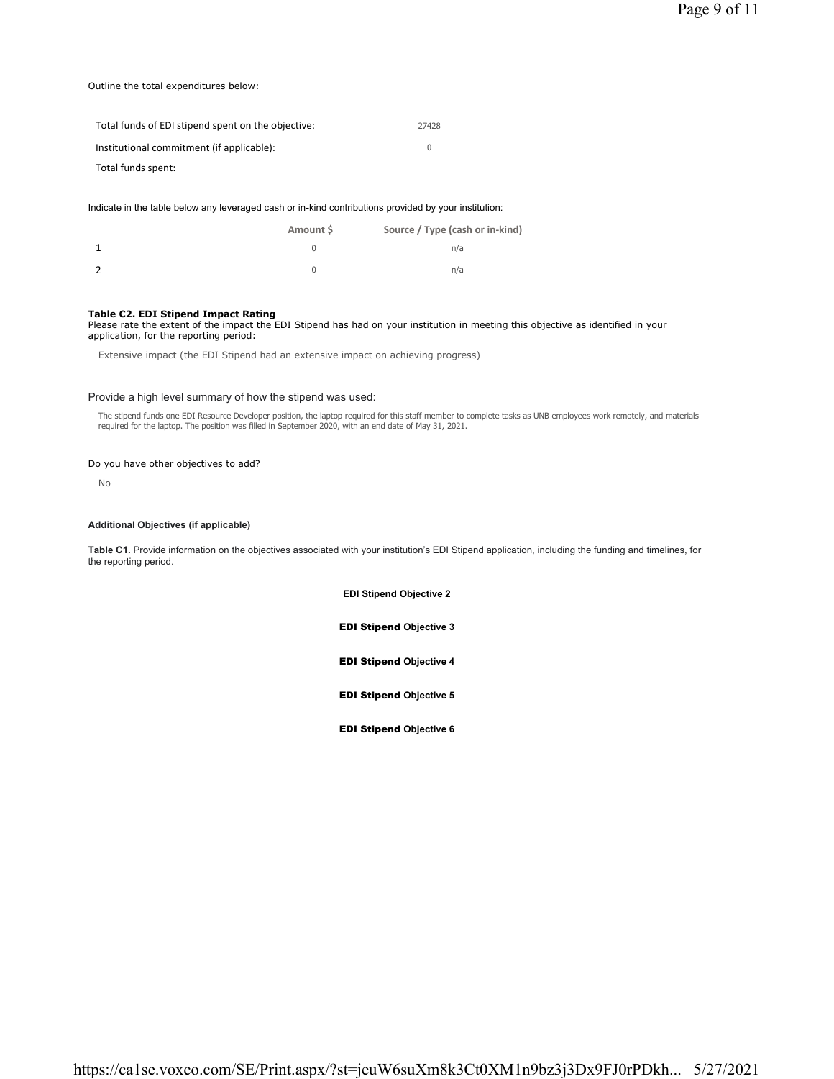# Outline the total expenditures below:

| Total funds of EDI stipend spent on the objective: | 27428 |
|----------------------------------------------------|-------|
| Institutional commitment (if applicable):          |       |
| Total funds spent:                                 |       |

Indicate in the table below any leveraged cash or in-kind contributions provided by your institution:

| Amount \$ | Source / Type (cash or in-kind) |
|-----------|---------------------------------|
|           | n/a                             |
|           | n/a                             |

# **Table C2. EDI Stipend Impact Rating**

Please rate the extent of the impact the EDI Stipend has had on your institution in meeting this objective as identified in your application, for the reporting period:

Extensive impact (the EDI Stipend had an extensive impact on achieving progress)

# Provide a high level summary of how the stipend was used:

The stipend funds one EDI Resource Developer position, the laptop required for this staff member to complete tasks as UNB employees work remotely, and materials required for the laptop. The position was filled in September 2020, with an end date of May 31, 2021.

# Do you have other objectives to add?

No

# **Additional Objectives (if applicable)**

**Table C1.** Provide information on the objectives associated with your institution's EDI Stipend application, including the funding and timelines, for the reporting period.

> **EDI Stipend Objective 2** EDI Stipend **Objective 3**

EDI Stipend **Objective 4**

EDI Stipend **Objective 5**

EDI Stipend **Objective 6**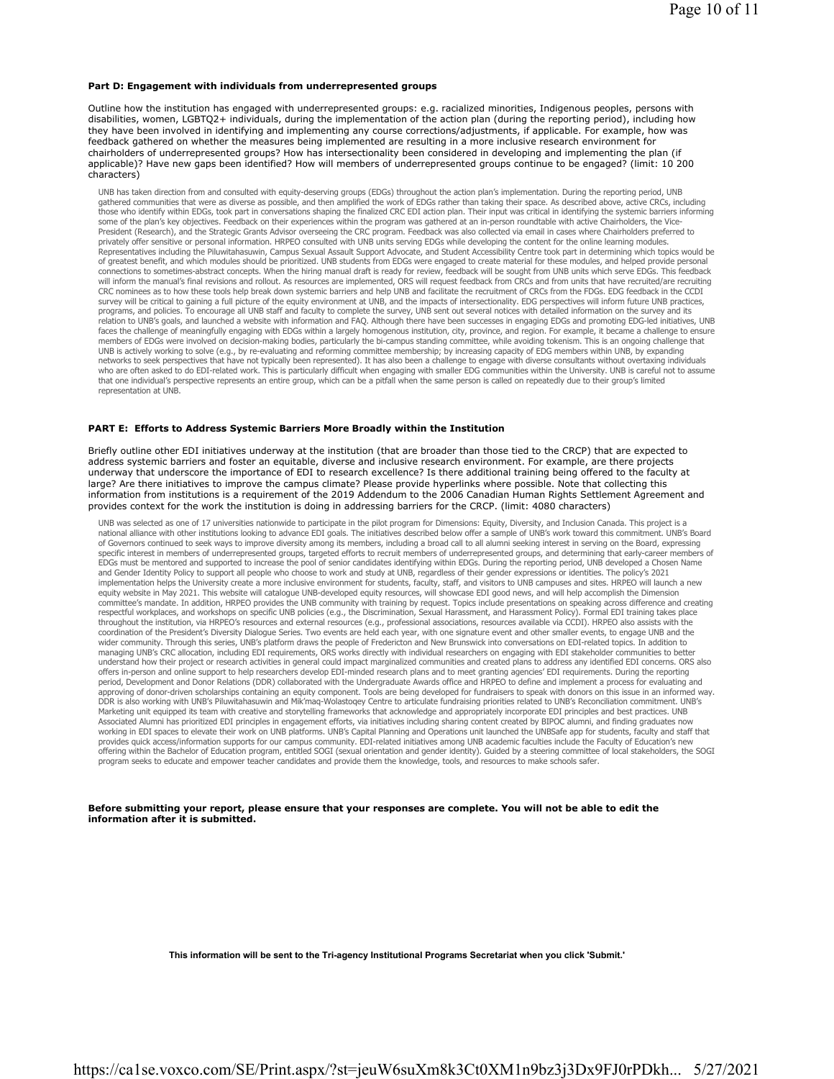#### **Part D: Engagement with individuals from underrepresented groups**

Outline how the institution has engaged with underrepresented groups: e.g. racialized minorities, Indigenous peoples, persons with disabilities, women, LGBTQ2+ individuals, during the implementation of the action plan (during the reporting period), including how they have been involved in identifying and implementing any course corrections/adjustments, if applicable. For example, how was feedback gathered on whether the measures being implemented are resulting in a more inclusive research environment for chairholders of underrepresented groups? How has intersectionality been considered in developing and implementing the plan (if applicable)? Have new gaps been identified? How will members of underrepresented groups continue to be engaged? (limit: 10 200 characters)

UNB has taken direction from and consulted with equity-deserving groups (EDGs) throughout the action plan's implementation. During the reporting period, UNB<br>gathered communities that were as diverse as possible, and then a those who identify within EDGs, took part in conversations shaping the finalized CRC EDI action plan. Their input was critical in identifying the systemic barriers informing some of the plan's key objectives. Feedback on their experiences within the program was gathered at an in-person roundtable with active Chairholders, the Vice-President (Research), and the Strategic Grants Advisor overseeing the CRC program. Feedback was also collected via email in cases where Chairholders preferred to<br>privately offer sensitive or personal information. HRPEO con Representatives including the Piluwitahasuwin, Campus Sexual Assault Support Advocate, and Student Accessibility Centre took part in determining which topics would be of greatest benefit, and which modules should be prioritized. UNB students from EDGs were engaged to create material for these modules, and helped provide personal connections to sometimes-abstract concepts. When the hiring manual draft is ready for review, feedback will be sought from UNB units which serve EDGs. This feedback<br>will inform the manual's final revisions and rollout. As CRC nominees as to how these tools help break down systemic barriers and help UNB and facilitate the recruitment of CRCs from the FDGs. EDG feedback in the CCDI survey will be critical to gaining a full picture of the equity environment at UNB, and the impacts of intersectionality. EDG perspectives will inform future UNB practices, programs, and policies. To encourage all UNB staff and faculty to complete the survey, UNB sent out several notices with detailed information on the survey and its<br>relation to UNB's goals, and launched a website with infor faces the challenge of meaningfully engaging with EDGs within a largely homogenous institution, city, province, and region. For example, it became a challenge to ensure members of EDGs were involved on decision-making bodies, particularly the bi-campus standing committee, while avoiding tokenism. This is an ongoing challenge that UNB is actively working to solve (e.g., by re-evaluating and reforming committee membership; by increasing capacity of EDG members within UNB, by expanding<br>networks to seek perspectives that have not typically been represe who are often asked to do EDI-related work. This is particularly difficult when engaging with smaller EDG communities within the University. UNB is careful not to assume<br>that one individual's perspective represents an enti representation at UNB.

## **PART E: Efforts to Address Systemic Barriers More Broadly within the Institution**

Briefly outline other EDI initiatives underway at the institution (that are broader than those tied to the CRCP) that are expected to address systemic barriers and foster an equitable, diverse and inclusive research environment. For example, are there projects underway that underscore the importance of EDI to research excellence? Is there additional training being offered to the faculty at large? Are there initiatives to improve the campus climate? Please provide hyperlinks where possible. Note that collecting this information from institutions is a requirement of the 2019 Addendum to the 2006 Canadian Human Rights Settlement Agreement and provides context for the work the institution is doing in addressing barriers for the CRCP. (limit: 4080 characters)

UNB was selected as one of 17 universities nationwide to participate in the pilot program for Dimensions: Equity, Diversity, and Inclusion Canada. This project is a<br>national alliance with other institutions looking to adva of Governors continued to seek ways to improve diversity among its members, including a broad call to all alumni seeking interest in serving on the Board, expressing specific interest in members of underrepresented groups, targeted efforts to recruit members of underrepresented groups, and determining that early-career members of EDGs must be mentored and supported to increase the pool of senior candidates identifying within EDGs. During the reporting period, UNB developed a Chosen Name and Gender Identity Policy to support all people who choose to work and study at UNB, regardless of their gender expressions or identities. The policy's 2021<br>implementation helps the University create a more inclusive envi equity website in May 2021. This website will catalogue UNB-developed equity resources, will showcase EDI good news, and will help accomplish the Dimension committee's mandate. In addition, HRPEO provides the UNB community with training by request. Topics include presentations on speaking across difference and creating respectful workplaces, and workshops on specific UNB policies (e.g., the Discrimination, Sexual Harassment, and Harassment Policy). Formal EDI training takes place<br>throughout the institution, via HRPEO's resources and exte coordination of the President's Diversity Dialogue Series. Two events are held each year, with one signature event and other smaller events, to engage UNB and the wider community. Through this series, UNB's platform draws the people of Fredericton and New Brunswick into conversations on EDI-related topics. In addition to<br>managing UNB's CRC allocation, including EDI requirements, ORS understand how their project or research activities in general could impact marginalized communities and created plans to address any identified EDI concerns. ORS also offers in-person and online support to help researchers develop EDI-minded research plans and to meet granting agencies' EDI requirements. During the reporting<br>period, Development and Donor Relations (DDR) collaborated wit Marketing unit equipped its team with creative and storytelling frameworks that acknowledge and appropriately incorporate EDI principles and best practices. UNB Associated Alumni has prioritized EDI principles in engagement efforts, via initiatives including sharing content created by BIPOC alumni, and finding graduates now<br>working in EDI spaces to elevate their work on UNB platfo provides quick access/information supports for our campus community. EDI-related initiatives among UNB academic faculties include the Faculty of Education's new offering within the Bachelor of Education program, entitled SOGI (sexual orientation and gender identity). Guided by a steering committee of local stakeholders, the SOGI program seeks to educate and empower teacher candidates and provide them the knowledge, tools, and resources to make schools safer.

**Before submitting your report, please ensure that your responses are complete. You will not be able to edit the information after it is submitted.**

**This information will be sent to the Tri-agency Institutional Programs Secretariat when you click 'Submit.'**